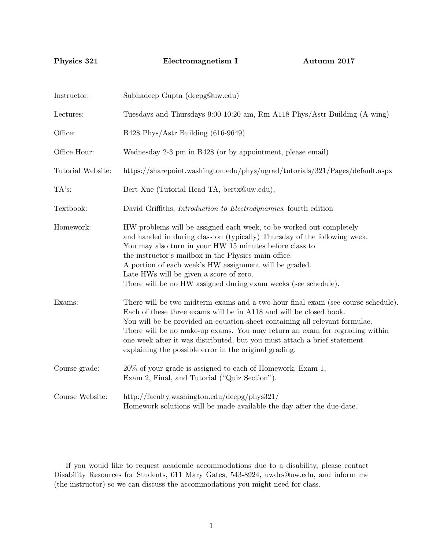Physics 321 Electromagnetism I Autumn 2017

| Instructor:       | Subhadeep Gupta (deepg@uw.edu)                                                                                                                                                                                                                                                                                                                                                                                                                             |  |  |
|-------------------|------------------------------------------------------------------------------------------------------------------------------------------------------------------------------------------------------------------------------------------------------------------------------------------------------------------------------------------------------------------------------------------------------------------------------------------------------------|--|--|
| Lectures:         | Tuesdays and Thursdays 9:00-10:20 am, Rm A118 Phys/Astr Building (A-wing)                                                                                                                                                                                                                                                                                                                                                                                  |  |  |
| Office:           | B428 Phys/Astr Building (616-9649)                                                                                                                                                                                                                                                                                                                                                                                                                         |  |  |
| Office Hour:      | Wednesday 2-3 pm in B428 (or by appointment, please email)                                                                                                                                                                                                                                                                                                                                                                                                 |  |  |
| Tutorial Website: | https://sharepoint.washington.edu/phys/ugrad/tutorials/321/Pages/default.aspx                                                                                                                                                                                                                                                                                                                                                                              |  |  |
| TA's:             | Bert Xue (Tutorial Head TA, bertx@uw.edu),                                                                                                                                                                                                                                                                                                                                                                                                                 |  |  |
| Textbook:         | David Griffiths, Introduction to Electrodynamics, fourth edition                                                                                                                                                                                                                                                                                                                                                                                           |  |  |
| Homework:         | HW problems will be assigned each week, to be worked out completely<br>and handed in during class on (typically) Thursday of the following week.<br>You may also turn in your HW 15 minutes before class to<br>the instructor's mailbox in the Physics main office.<br>A portion of each week's HW assignment will be graded.<br>Late HWs will be given a score of zero.<br>There will be no HW assigned during exam weeks (see schedule).                 |  |  |
| Exams:            | There will be two midterm exams and a two-hour final exam (see course schedule).<br>Each of these three exams will be in A118 and will be closed book.<br>You will be be provided an equation-sheet containing all relevant formulae.<br>There will be no make-up exams. You may return an exam for regrading within<br>one week after it was distributed, but you must attach a brief statement<br>explaining the possible error in the original grading. |  |  |
| Course grade:     | 20% of your grade is assigned to each of Homework, Exam 1,<br>Exam 2, Final, and Tutorial ("Quiz Section").                                                                                                                                                                                                                                                                                                                                                |  |  |
| Course Website:   | http://faculty.washington.edu/deepg/phys321/<br>Homework solutions will be made available the day after the due-date.                                                                                                                                                                                                                                                                                                                                      |  |  |

If you would like to request academic accommodations due to a disability, please contact Disability Resources for Students, 011 Mary Gates, 543-8924, uwdrs@uw.edu, and inform me (the instructor) so we can discuss the accommodations you might need for class.